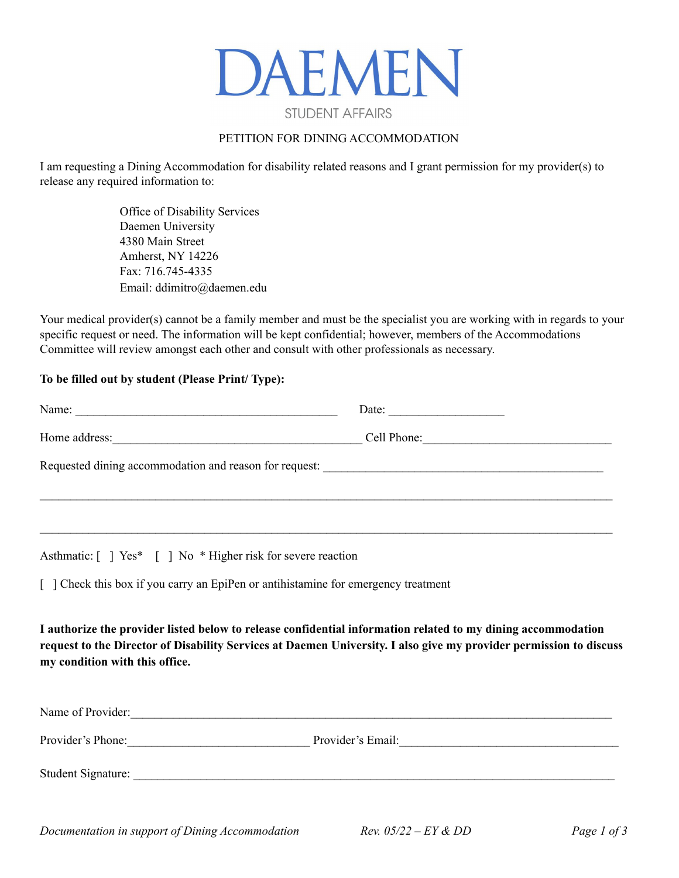

## PETITION FOR DINING ACCOMMODATION

I am requesting a Dining Accommodation for disability related reasons and I grant permission for my provider(s) to release any required information to:

> Office of Disability Services Daemen University 4380 Main Street Amherst, NY 14226 Fax: 716.745-4335 Email: ddimitro@daemen.edu

Your medical provider(s) cannot be a family member and must be the specialist you are working with in regards to your specific request or need. The information will be kept confidential; however, members of the Accommodations Committee will review amongst each other and consult with other professionals as necessary.

### **To be filled out by student (Please Print/ Type):**

| Name:<br><u> El antiga de la contenentación de la contenentación de la contenentación de la contenentación de la contenentación de la contenentación de la contenentación de la contenentación de la contenentación de la contenentación </u> | Date: $\qquad \qquad$ |
|-----------------------------------------------------------------------------------------------------------------------------------------------------------------------------------------------------------------------------------------------|-----------------------|
|                                                                                                                                                                                                                                               | Cell Phone:           |
| Requested dining accommodation and reason for request: __________________________                                                                                                                                                             |                       |
|                                                                                                                                                                                                                                               |                       |

Asthmatic:  $\lceil \ \rceil$  Yes\*  $\lceil \ \rceil$  No \* Higher risk for severe reaction

[ ] Check this box if you carry an EpiPen or antihistamine for emergency treatment

**I authorize the provider listed below to release confidential information related to my dining accommodation** request to the Director of Disability Services at Daemen University. I also give my provider permission to discuss **my condition with this office.**

| Name of Provider:  |                   |
|--------------------|-------------------|
| Provider's Phone:  | Provider's Email: |
| Student Signature: |                   |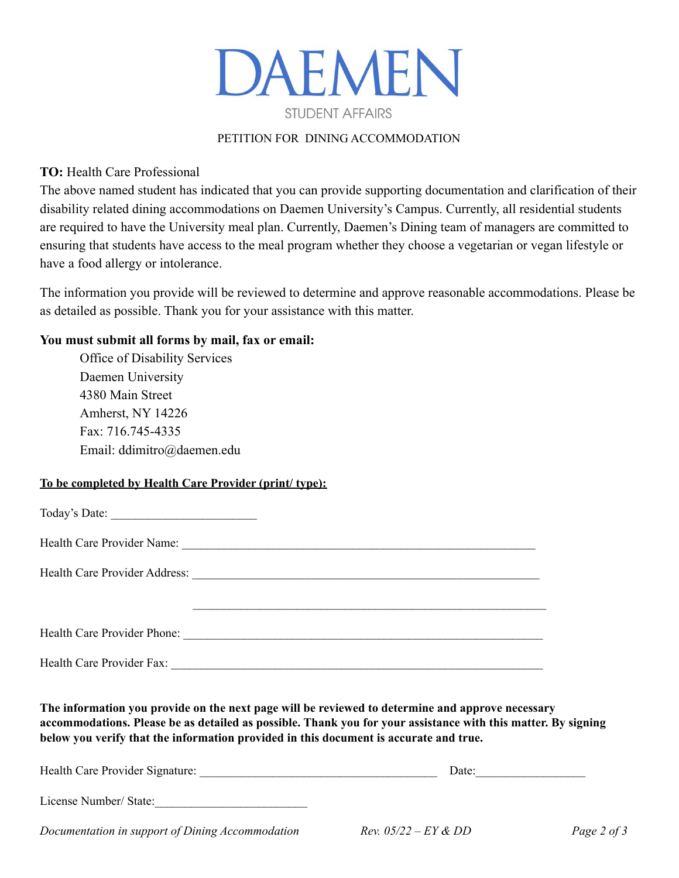

## PETITION FOR DINING ACCOMMODATION

**TO:** Health Care Professional

The above named student has indicated that you can provide supporting documentation and clarification of their disability related dining accommodations on Daemen University's Campus. Currently, all residential students are required to have the University meal plan. Currently, Daemen's Dining team of managers are committed to ensuring that students have access to the meal program whether they choose a vegetarian or vegan lifestyle or have a food allergy or intolerance.

The information you provide will be reviewed to determine and approve reasonable accommodations. Please be as detailed as possible. Thank you for your assistance with this matter.

## **You must submit all forms by mail, fax or email:**

Office of Disability Services Daemen University 4380 Main Street Amherst, NY 14226 Fax: 716.745-4335 Email: ddimitro@daemen.edu

### **To be completed by Health Care Provider (print/ type):**

| The information you provide on the next page will be reviewed to determine and approve necessary<br>accommodations. Please be as detailed as possible. Thank you for your assistance with this matter. By signing<br>below you verify that the information provided in this document is accurate and true. |  |
|------------------------------------------------------------------------------------------------------------------------------------------------------------------------------------------------------------------------------------------------------------------------------------------------------------|--|

| Health Care Provider Signature:                  | Date:                         |             |
|--------------------------------------------------|-------------------------------|-------------|
| License Number/ State:                           |                               |             |
| Documentation in support of Dining Accommodation | <i>Rev.</i> $05/22 - EY & DD$ | Page 2 of 3 |